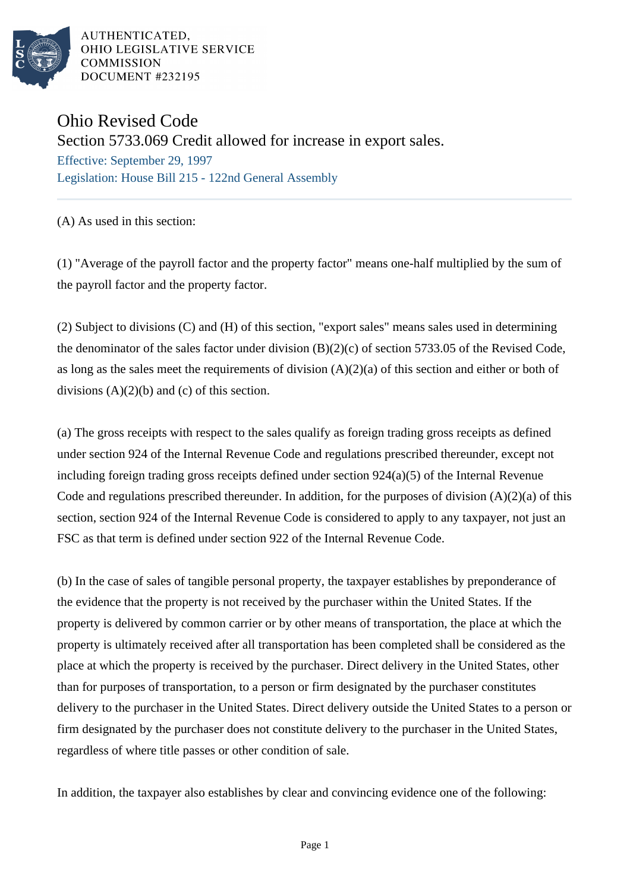

# Ohio Revised Code

Section 5733.069 Credit allowed for increase in export sales.

Effective: September 29, 1997 Legislation: House Bill 215 - 122nd General Assembly

(A) As used in this section:

(1) "Average of the payroll factor and the property factor" means one-half multiplied by the sum of the payroll factor and the property factor.

(2) Subject to divisions (C) and (H) of this section, "export sales" means sales used in determining the denominator of the sales factor under division (B)(2)(c) of section 5733.05 of the Revised Code, as long as the sales meet the requirements of division (A)(2)(a) of this section and either or both of divisions  $(A)(2)(b)$  and  $(c)$  of this section.

(a) The gross receipts with respect to the sales qualify as foreign trading gross receipts as defined under section 924 of the Internal Revenue Code and regulations prescribed thereunder, except not including foreign trading gross receipts defined under section 924(a)(5) of the Internal Revenue Code and regulations prescribed thereunder. In addition, for the purposes of division  $(A)(2)(a)$  of this section, section 924 of the Internal Revenue Code is considered to apply to any taxpayer, not just an FSC as that term is defined under section 922 of the Internal Revenue Code.

(b) In the case of sales of tangible personal property, the taxpayer establishes by preponderance of the evidence that the property is not received by the purchaser within the United States. If the property is delivered by common carrier or by other means of transportation, the place at which the property is ultimately received after all transportation has been completed shall be considered as the place at which the property is received by the purchaser. Direct delivery in the United States, other than for purposes of transportation, to a person or firm designated by the purchaser constitutes delivery to the purchaser in the United States. Direct delivery outside the United States to a person or firm designated by the purchaser does not constitute delivery to the purchaser in the United States, regardless of where title passes or other condition of sale.

In addition, the taxpayer also establishes by clear and convincing evidence one of the following: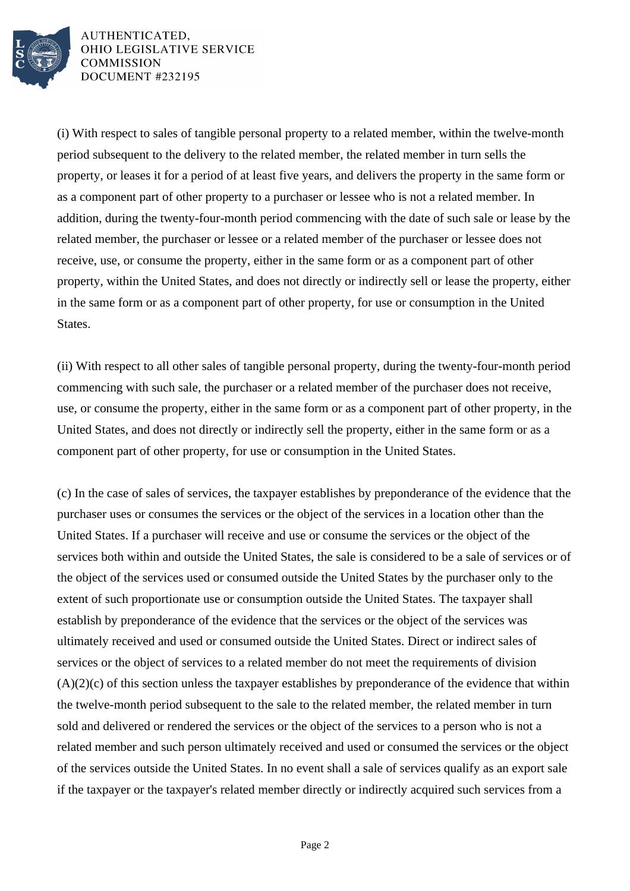

(i) With respect to sales of tangible personal property to a related member, within the twelve-month period subsequent to the delivery to the related member, the related member in turn sells the property, or leases it for a period of at least five years, and delivers the property in the same form or as a component part of other property to a purchaser or lessee who is not a related member. In addition, during the twenty-four-month period commencing with the date of such sale or lease by the related member, the purchaser or lessee or a related member of the purchaser or lessee does not receive, use, or consume the property, either in the same form or as a component part of other property, within the United States, and does not directly or indirectly sell or lease the property, either in the same form or as a component part of other property, for use or consumption in the United States.

(ii) With respect to all other sales of tangible personal property, during the twenty-four-month period commencing with such sale, the purchaser or a related member of the purchaser does not receive, use, or consume the property, either in the same form or as a component part of other property, in the United States, and does not directly or indirectly sell the property, either in the same form or as a component part of other property, for use or consumption in the United States.

(c) In the case of sales of services, the taxpayer establishes by preponderance of the evidence that the purchaser uses or consumes the services or the object of the services in a location other than the United States. If a purchaser will receive and use or consume the services or the object of the services both within and outside the United States, the sale is considered to be a sale of services or of the object of the services used or consumed outside the United States by the purchaser only to the extent of such proportionate use or consumption outside the United States. The taxpayer shall establish by preponderance of the evidence that the services or the object of the services was ultimately received and used or consumed outside the United States. Direct or indirect sales of services or the object of services to a related member do not meet the requirements of division (A)(2)(c) of this section unless the taxpayer establishes by preponderance of the evidence that within the twelve-month period subsequent to the sale to the related member, the related member in turn sold and delivered or rendered the services or the object of the services to a person who is not a related member and such person ultimately received and used or consumed the services or the object of the services outside the United States. In no event shall a sale of services qualify as an export sale if the taxpayer or the taxpayer's related member directly or indirectly acquired such services from a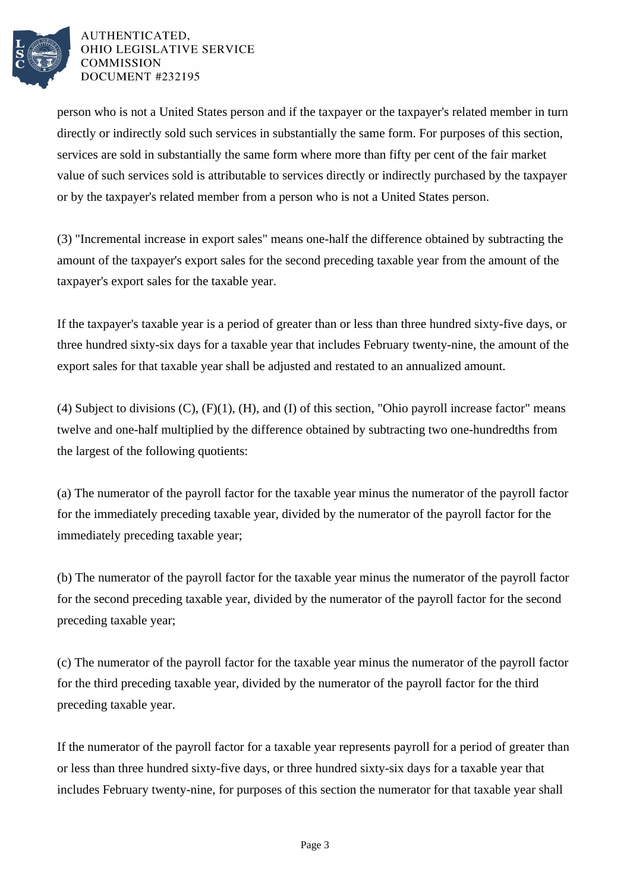

person who is not a United States person and if the taxpayer or the taxpayer's related member in turn directly or indirectly sold such services in substantially the same form. For purposes of this section, services are sold in substantially the same form where more than fifty per cent of the fair market value of such services sold is attributable to services directly or indirectly purchased by the taxpayer or by the taxpayer's related member from a person who is not a United States person.

(3) "Incremental increase in export sales" means one-half the difference obtained by subtracting the amount of the taxpayer's export sales for the second preceding taxable year from the amount of the taxpayer's export sales for the taxable year.

If the taxpayer's taxable year is a period of greater than or less than three hundred sixty-five days, or three hundred sixty-six days for a taxable year that includes February twenty-nine, the amount of the export sales for that taxable year shall be adjusted and restated to an annualized amount.

(4) Subject to divisions (C), (F)(1), (H), and (I) of this section, "Ohio payroll increase factor" means twelve and one-half multiplied by the difference obtained by subtracting two one-hundredths from the largest of the following quotients:

(a) The numerator of the payroll factor for the taxable year minus the numerator of the payroll factor for the immediately preceding taxable year, divided by the numerator of the payroll factor for the immediately preceding taxable year;

(b) The numerator of the payroll factor for the taxable year minus the numerator of the payroll factor for the second preceding taxable year, divided by the numerator of the payroll factor for the second preceding taxable year;

(c) The numerator of the payroll factor for the taxable year minus the numerator of the payroll factor for the third preceding taxable year, divided by the numerator of the payroll factor for the third preceding taxable year.

If the numerator of the payroll factor for a taxable year represents payroll for a period of greater than or less than three hundred sixty-five days, or three hundred sixty-six days for a taxable year that includes February twenty-nine, for purposes of this section the numerator for that taxable year shall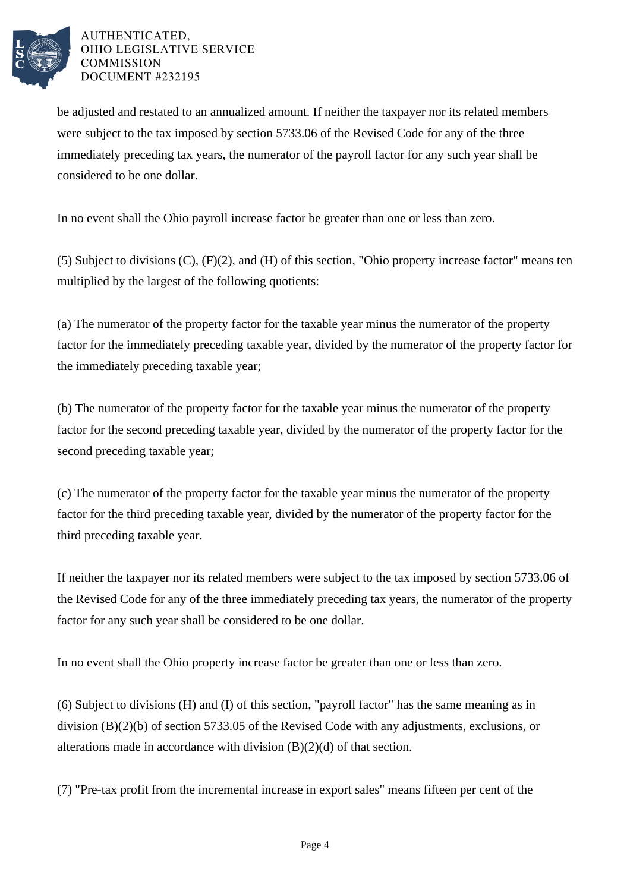

be adjusted and restated to an annualized amount. If neither the taxpayer nor its related members were subject to the tax imposed by section 5733.06 of the Revised Code for any of the three immediately preceding tax years, the numerator of the payroll factor for any such year shall be considered to be one dollar.

In no event shall the Ohio payroll increase factor be greater than one or less than zero.

(5) Subject to divisions (C), (F)(2), and (H) of this section, "Ohio property increase factor" means ten multiplied by the largest of the following quotients:

(a) The numerator of the property factor for the taxable year minus the numerator of the property factor for the immediately preceding taxable year, divided by the numerator of the property factor for the immediately preceding taxable year;

(b) The numerator of the property factor for the taxable year minus the numerator of the property factor for the second preceding taxable year, divided by the numerator of the property factor for the second preceding taxable year;

(c) The numerator of the property factor for the taxable year minus the numerator of the property factor for the third preceding taxable year, divided by the numerator of the property factor for the third preceding taxable year.

If neither the taxpayer nor its related members were subject to the tax imposed by section 5733.06 of the Revised Code for any of the three immediately preceding tax years, the numerator of the property factor for any such year shall be considered to be one dollar.

In no event shall the Ohio property increase factor be greater than one or less than zero.

(6) Subject to divisions (H) and (I) of this section, "payroll factor" has the same meaning as in division (B)(2)(b) of section 5733.05 of the Revised Code with any adjustments, exclusions, or alterations made in accordance with division (B)(2)(d) of that section.

(7) "Pre-tax profit from the incremental increase in export sales" means fifteen per cent of the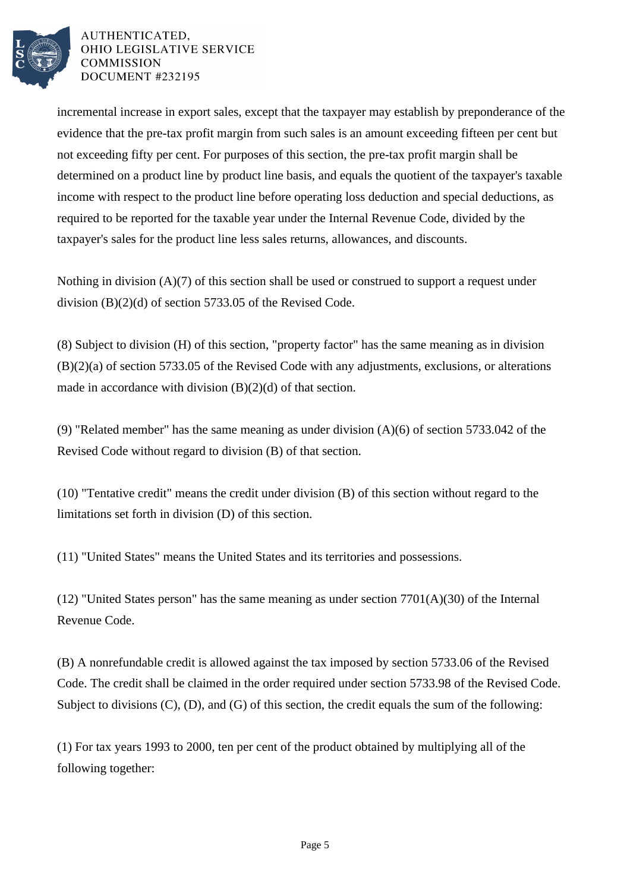

incremental increase in export sales, except that the taxpayer may establish by preponderance of the evidence that the pre-tax profit margin from such sales is an amount exceeding fifteen per cent but not exceeding fifty per cent. For purposes of this section, the pre-tax profit margin shall be determined on a product line by product line basis, and equals the quotient of the taxpayer's taxable income with respect to the product line before operating loss deduction and special deductions, as required to be reported for the taxable year under the Internal Revenue Code, divided by the taxpayer's sales for the product line less sales returns, allowances, and discounts.

Nothing in division (A)(7) of this section shall be used or construed to support a request under division (B)(2)(d) of section 5733.05 of the Revised Code.

(8) Subject to division (H) of this section, "property factor" has the same meaning as in division (B)(2)(a) of section 5733.05 of the Revised Code with any adjustments, exclusions, or alterations made in accordance with division (B)(2)(d) of that section.

(9) "Related member" has the same meaning as under division (A)(6) of section 5733.042 of the Revised Code without regard to division (B) of that section.

(10) "Tentative credit" means the credit under division (B) of this section without regard to the limitations set forth in division (D) of this section.

(11) "United States" means the United States and its territories and possessions.

 $(12)$  "United States person" has the same meaning as under section 7701(A)(30) of the Internal Revenue Code.

(B) A nonrefundable credit is allowed against the tax imposed by section 5733.06 of the Revised Code. The credit shall be claimed in the order required under section 5733.98 of the Revised Code. Subject to divisions (C), (D), and (G) of this section, the credit equals the sum of the following:

(1) For tax years 1993 to 2000, ten per cent of the product obtained by multiplying all of the following together: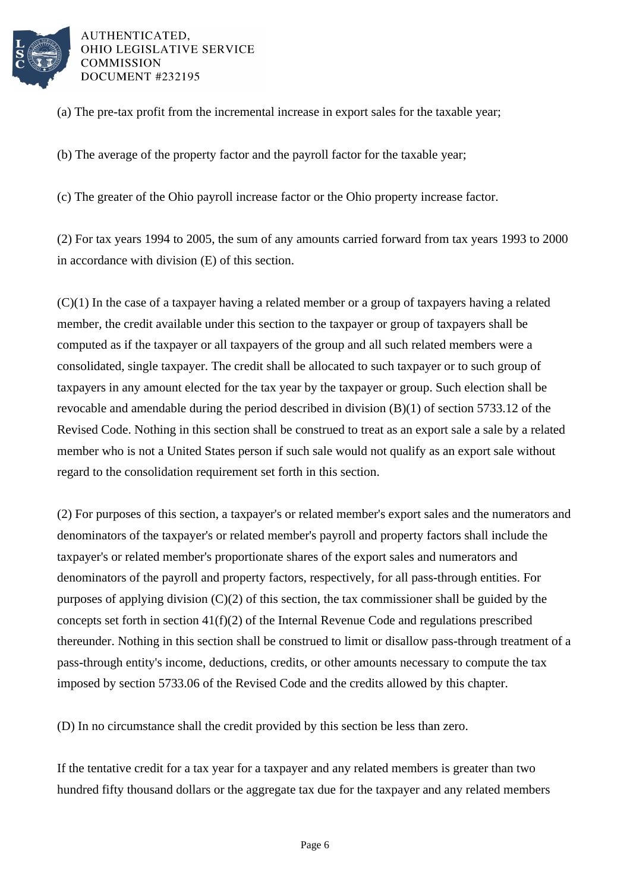

(a) The pre-tax profit from the incremental increase in export sales for the taxable year;

(b) The average of the property factor and the payroll factor for the taxable year;

(c) The greater of the Ohio payroll increase factor or the Ohio property increase factor.

(2) For tax years 1994 to 2005, the sum of any amounts carried forward from tax years 1993 to 2000 in accordance with division (E) of this section.

(C)(1) In the case of a taxpayer having a related member or a group of taxpayers having a related member, the credit available under this section to the taxpayer or group of taxpayers shall be computed as if the taxpayer or all taxpayers of the group and all such related members were a consolidated, single taxpayer. The credit shall be allocated to such taxpayer or to such group of taxpayers in any amount elected for the tax year by the taxpayer or group. Such election shall be revocable and amendable during the period described in division (B)(1) of section 5733.12 of the Revised Code. Nothing in this section shall be construed to treat as an export sale a sale by a related member who is not a United States person if such sale would not qualify as an export sale without regard to the consolidation requirement set forth in this section.

(2) For purposes of this section, a taxpayer's or related member's export sales and the numerators and denominators of the taxpayer's or related member's payroll and property factors shall include the taxpayer's or related member's proportionate shares of the export sales and numerators and denominators of the payroll and property factors, respectively, for all pass-through entities. For purposes of applying division (C)(2) of this section, the tax commissioner shall be guided by the concepts set forth in section 41(f)(2) of the Internal Revenue Code and regulations prescribed thereunder. Nothing in this section shall be construed to limit or disallow pass-through treatment of a pass-through entity's income, deductions, credits, or other amounts necessary to compute the tax imposed by section 5733.06 of the Revised Code and the credits allowed by this chapter.

(D) In no circumstance shall the credit provided by this section be less than zero.

If the tentative credit for a tax year for a taxpayer and any related members is greater than two hundred fifty thousand dollars or the aggregate tax due for the taxpayer and any related members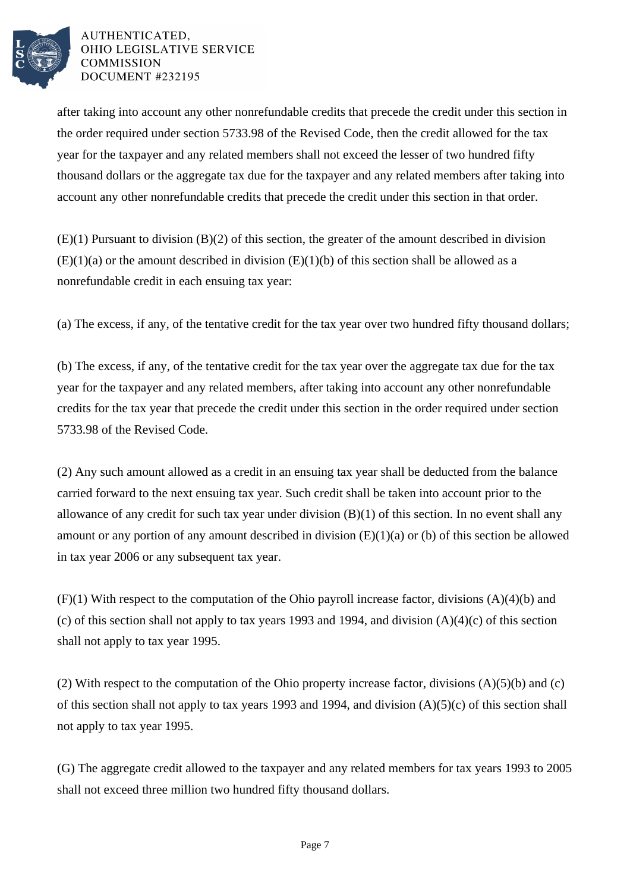

after taking into account any other nonrefundable credits that precede the credit under this section in the order required under section 5733.98 of the Revised Code, then the credit allowed for the tax year for the taxpayer and any related members shall not exceed the lesser of two hundred fifty thousand dollars or the aggregate tax due for the taxpayer and any related members after taking into account any other nonrefundable credits that precede the credit under this section in that order.

(E)(1) Pursuant to division (B)(2) of this section, the greater of the amount described in division  $(E)(1)(a)$  or the amount described in division  $(E)(1)(b)$  of this section shall be allowed as a nonrefundable credit in each ensuing tax year:

(a) The excess, if any, of the tentative credit for the tax year over two hundred fifty thousand dollars;

(b) The excess, if any, of the tentative credit for the tax year over the aggregate tax due for the tax year for the taxpayer and any related members, after taking into account any other nonrefundable credits for the tax year that precede the credit under this section in the order required under section 5733.98 of the Revised Code.

(2) Any such amount allowed as a credit in an ensuing tax year shall be deducted from the balance carried forward to the next ensuing tax year. Such credit shall be taken into account prior to the allowance of any credit for such tax year under division (B)(1) of this section. In no event shall any amount or any portion of any amount described in division (E)(1)(a) or (b) of this section be allowed in tax year 2006 or any subsequent tax year.

 $(F)(1)$  With respect to the computation of the Ohio payroll increase factor, divisions  $(A)(4)(b)$  and (c) of this section shall not apply to tax years 1993 and 1994, and division  $(A)(4)(c)$  of this section shall not apply to tax year 1995.

(2) With respect to the computation of the Ohio property increase factor, divisions (A)(5)(b) and (c) of this section shall not apply to tax years 1993 and 1994, and division (A)(5)(c) of this section shall not apply to tax year 1995.

(G) The aggregate credit allowed to the taxpayer and any related members for tax years 1993 to 2005 shall not exceed three million two hundred fifty thousand dollars.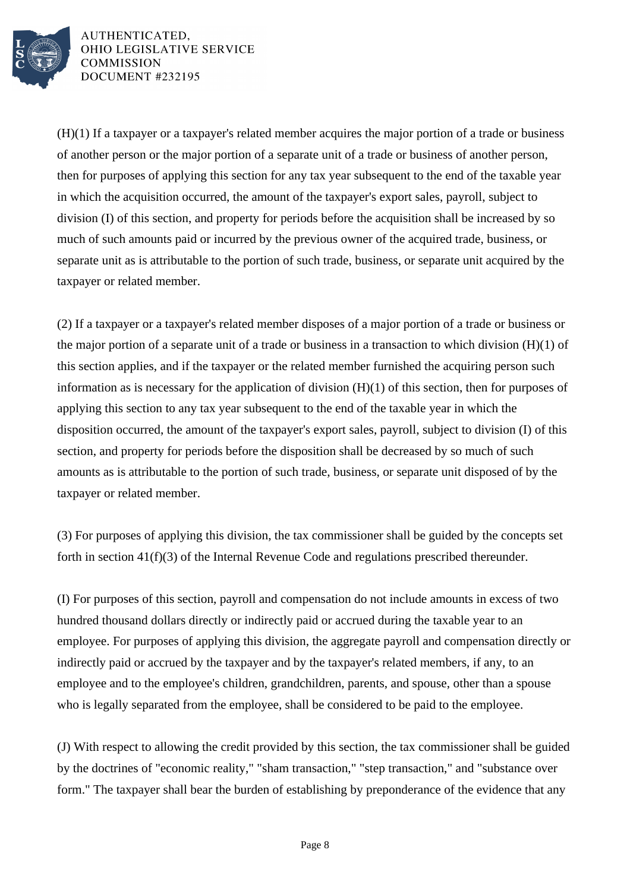

(H)(1) If a taxpayer or a taxpayer's related member acquires the major portion of a trade or business of another person or the major portion of a separate unit of a trade or business of another person, then for purposes of applying this section for any tax year subsequent to the end of the taxable year in which the acquisition occurred, the amount of the taxpayer's export sales, payroll, subject to division (I) of this section, and property for periods before the acquisition shall be increased by so much of such amounts paid or incurred by the previous owner of the acquired trade, business, or separate unit as is attributable to the portion of such trade, business, or separate unit acquired by the taxpayer or related member.

(2) If a taxpayer or a taxpayer's related member disposes of a major portion of a trade or business or the major portion of a separate unit of a trade or business in a transaction to which division  $(H)(1)$  of this section applies, and if the taxpayer or the related member furnished the acquiring person such information as is necessary for the application of division (H)(1) of this section, then for purposes of applying this section to any tax year subsequent to the end of the taxable year in which the disposition occurred, the amount of the taxpayer's export sales, payroll, subject to division (I) of this section, and property for periods before the disposition shall be decreased by so much of such amounts as is attributable to the portion of such trade, business, or separate unit disposed of by the taxpayer or related member.

(3) For purposes of applying this division, the tax commissioner shall be guided by the concepts set forth in section 41(f)(3) of the Internal Revenue Code and regulations prescribed thereunder.

(I) For purposes of this section, payroll and compensation do not include amounts in excess of two hundred thousand dollars directly or indirectly paid or accrued during the taxable year to an employee. For purposes of applying this division, the aggregate payroll and compensation directly or indirectly paid or accrued by the taxpayer and by the taxpayer's related members, if any, to an employee and to the employee's children, grandchildren, parents, and spouse, other than a spouse who is legally separated from the employee, shall be considered to be paid to the employee.

(J) With respect to allowing the credit provided by this section, the tax commissioner shall be guided by the doctrines of "economic reality," "sham transaction," "step transaction," and "substance over form." The taxpayer shall bear the burden of establishing by preponderance of the evidence that any